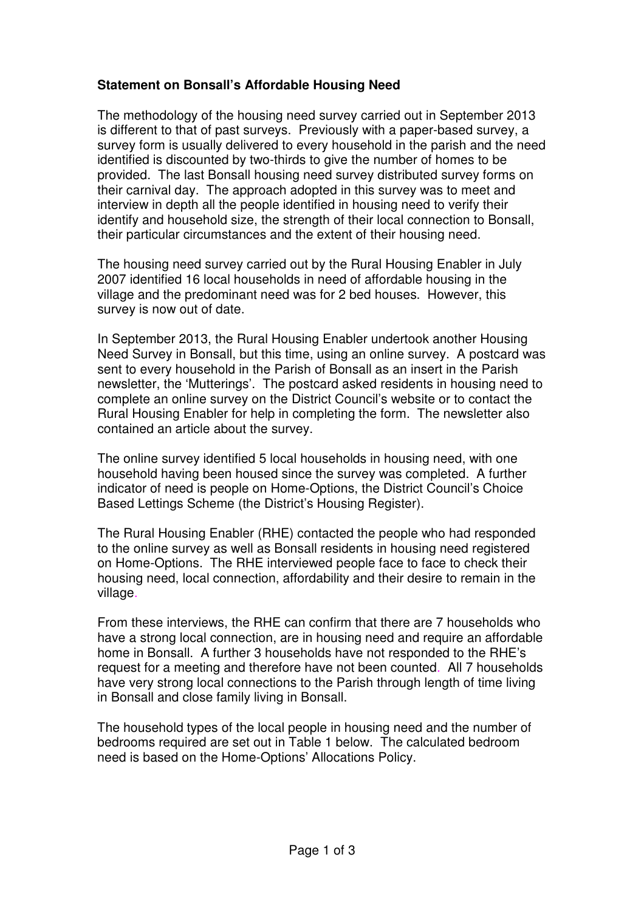## **Statement on Bonsall's Affordable Housing Need**

The methodology of the housing need survey carried out in September 2013 is different to that of past surveys. Previously with a paper-based survey, a survey form is usually delivered to every household in the parish and the need identified is discounted by two-thirds to give the number of homes to be provided. The last Bonsall housing need survey distributed survey forms on their carnival day. The approach adopted in this survey was to meet and interview in depth all the people identified in housing need to verify their identify and household size, the strength of their local connection to Bonsall, their particular circumstances and the extent of their housing need.

The housing need survey carried out by the Rural Housing Enabler in July 2007 identified 16 local households in need of affordable housing in the village and the predominant need was for 2 bed houses. However, this survey is now out of date.

In September 2013, the Rural Housing Enabler undertook another Housing Need Survey in Bonsall, but this time, using an online survey. A postcard was sent to every household in the Parish of Bonsall as an insert in the Parish newsletter, the 'Mutterings'. The postcard asked residents in housing need to complete an online survey on the District Council's website or to contact the Rural Housing Enabler for help in completing the form. The newsletter also contained an article about the survey.

The online survey identified 5 local households in housing need, with one household having been housed since the survey was completed. A further indicator of need is people on Home-Options, the District Council's Choice Based Lettings Scheme (the District's Housing Register).

The Rural Housing Enabler (RHE) contacted the people who had responded to the online survey as well as Bonsall residents in housing need registered on Home-Options. The RHE interviewed people face to face to check their housing need, local connection, affordability and their desire to remain in the village.

From these interviews, the RHE can confirm that there are 7 households who have a strong local connection, are in housing need and require an affordable home in Bonsall. A further 3 households have not responded to the RHE's request for a meeting and therefore have not been counted. All 7 households have very strong local connections to the Parish through length of time living in Bonsall and close family living in Bonsall.

The household types of the local people in housing need and the number of bedrooms required are set out in Table 1 below. The calculated bedroom need is based on the Home-Options' Allocations Policy.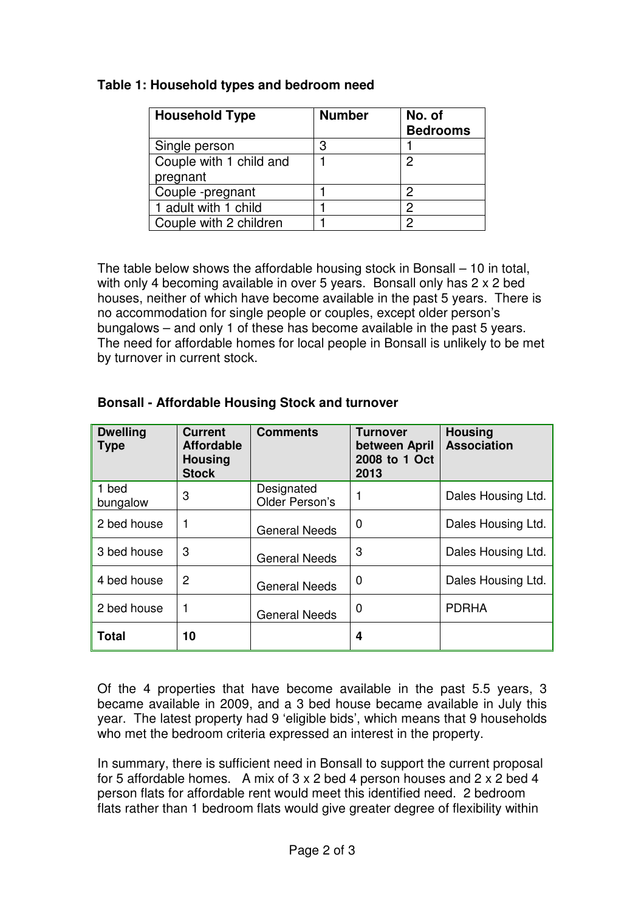## **Table 1: Household types and bedroom need**

| <b>Household Type</b>   | <b>Number</b> | No. of          |
|-------------------------|---------------|-----------------|
|                         |               | <b>Bedrooms</b> |
| Single person           | 3             |                 |
| Couple with 1 child and |               | $\mathcal{P}$   |
| pregnant                |               |                 |
| Couple-pregnant         |               | 2               |
| 1 adult with 1 child    |               | 2               |
| Couple with 2 children  |               | ⌒               |

The table below shows the affordable housing stock in Bonsall – 10 in total, with only 4 becoming available in over 5 years. Bonsall only has 2 x 2 bed houses, neither of which have become available in the past 5 years. There is no accommodation for single people or couples, except older person's bungalows – and only 1 of these has become available in the past 5 years. The need for affordable homes for local people in Bonsall is unlikely to be met by turnover in current stock.

| <b>Dwelling</b><br><b>Type</b> | <b>Current</b><br><b>Affordable</b><br><b>Housing</b><br><b>Stock</b> | <b>Comments</b>              | <b>Turnover</b><br>between April<br>2008 to 1 Oct<br>2013 | <b>Housing</b><br><b>Association</b> |
|--------------------------------|-----------------------------------------------------------------------|------------------------------|-----------------------------------------------------------|--------------------------------------|
| 1 bed<br>bungalow              | 3                                                                     | Designated<br>Older Person's |                                                           | Dales Housing Ltd.                   |
| 2 bed house                    |                                                                       | <b>General Needs</b>         | 0                                                         | Dales Housing Ltd.                   |
| 3 bed house                    | 3                                                                     | <b>General Needs</b>         | 3                                                         | Dales Housing Ltd.                   |
| 4 bed house                    | 2                                                                     | <b>General Needs</b>         | 0                                                         | Dales Housing Ltd.                   |
| 2 bed house                    |                                                                       | <b>General Needs</b>         | 0                                                         | <b>PDRHA</b>                         |
| <b>Total</b>                   | 10                                                                    |                              | 4                                                         |                                      |

## **Bonsall - Affordable Housing Stock and turnover**

Of the 4 properties that have become available in the past 5.5 years, 3 became available in 2009, and a 3 bed house became available in July this year. The latest property had 9 'eligible bids', which means that 9 households who met the bedroom criteria expressed an interest in the property.

In summary, there is sufficient need in Bonsall to support the current proposal for 5 affordable homes. A mix of 3 x 2 bed 4 person houses and 2 x 2 bed 4 person flats for affordable rent would meet this identified need. 2 bedroom flats rather than 1 bedroom flats would give greater degree of flexibility within